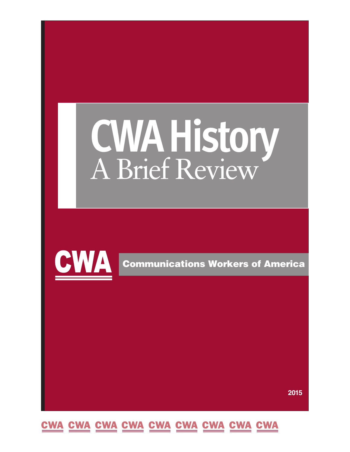# **CWAHistory** <sup>A</sup> Brief Review



**Communications Workers of America**

**2015**

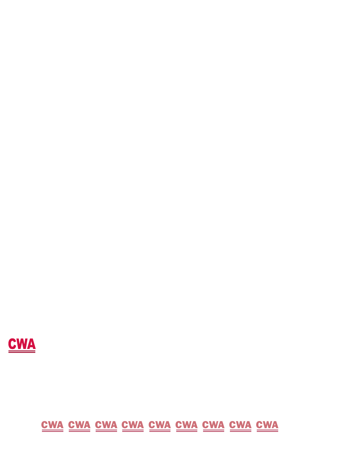

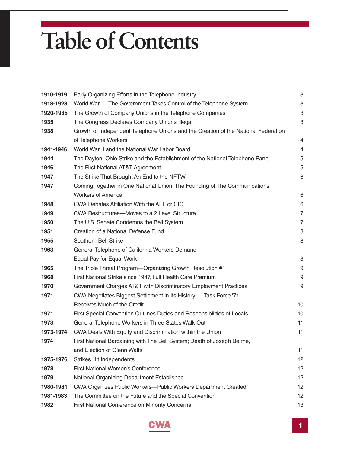# **Table of Contents**

| 1910-1919 | Early Organizing Efforts in the Telephone Industry                                 | 3              |  |  |
|-----------|------------------------------------------------------------------------------------|----------------|--|--|
| 1918-1923 | World War I-The Government Takes Control of the Telephone System                   |                |  |  |
| 1920-1935 | The Growth of Company Unions in the Telephone Companies                            |                |  |  |
| 1935      | The Congress Declares Company Unions Illegal                                       | 3              |  |  |
| 1938      | Growth of Independent Telephone Unions and the Creation of the National Federation |                |  |  |
|           | of Telephone Workers                                                               | 4              |  |  |
| 1941-1946 | World War II and the National War Labor Board                                      | 4              |  |  |
| 1944      | The Dayton, Ohio Strike and the Establishment of the National Telephone Panel      | 5              |  |  |
| 1946      | The First National AT&T Agreement                                                  | 5              |  |  |
| 1947      | The Strike That Brought An End to the NFTW                                         | 6              |  |  |
| 1947      | Coming Together in One National Union: The Founding of The Communications          |                |  |  |
|           | <b>Workers of America</b>                                                          | 6              |  |  |
| 1948      | CWA Debates Affiliation With the AFL or CIO                                        | 6              |  |  |
| 1949      | CWA Restructures-Moves to a 2 Level Structure                                      | $\overline{7}$ |  |  |
| 1950      | The U.S. Senate Condemns the Bell System                                           | $\overline{7}$ |  |  |
| 1951      | Creation of a National Defense Fund                                                | 8              |  |  |
| 1955      | Southern Bell Strike                                                               | 8              |  |  |
| 1963      | General Telephone of California Workers Demand                                     |                |  |  |
|           | Equal Pay for Equal Work                                                           | 8              |  |  |
| 1965      | The Triple Threat Program-Organizing Growth Resolution #1                          | 9              |  |  |
| 1968      | First National Strike since 1947, Full Health Care Premium                         | 9              |  |  |
| 1970      | Government Charges AT&T with Discriminatory Employment Practices                   | 9              |  |  |
| 1971      | CWA Negotiates Biggest Settlement in Its History - Task Force '71                  |                |  |  |
|           | Receives Much of the Credit                                                        | 10             |  |  |
| 1971      | First Special Convention Outlines Duties and Responsibilities of Locals            | 10             |  |  |
| 1973      | General Telephone Workers in Three States Walk Out                                 | 11             |  |  |
| 1973-1974 | CWA Deals With Equity and Discrimination within the Union                          | 11             |  |  |
| 1974      | First National Bargaining with The Bell System; Death of Joseph Beirne,            |                |  |  |
|           | and Election of Glenn Watts                                                        | 11             |  |  |
| 1975-1976 | <b>Strikes Hit Independents</b>                                                    | 12             |  |  |
| 1978      | First National Women's Conference                                                  | 12             |  |  |
| 1979      | National Organizing Department Established                                         | 12             |  |  |
| 1980-1981 | CWA Organizes Public Workers-Public Workers Department Created                     | 12             |  |  |
| 1981-1983 | The Committee on the Future and the Special Convention                             | 12             |  |  |
| 1982      | First National Conference on Minority Concerns                                     | 13             |  |  |

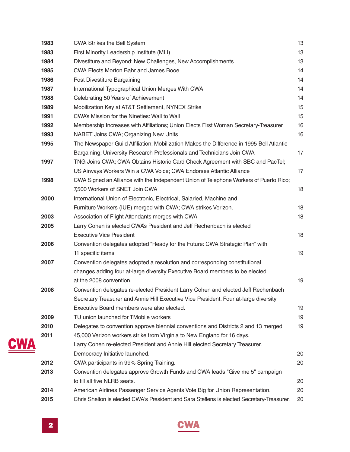| 1983 | <b>CWA Strikes the Bell System</b>                                                         | 13 |
|------|--------------------------------------------------------------------------------------------|----|
| 1983 | First Minority Leadership Institute (MLI)                                                  | 13 |
| 1984 | Divestiture and Beyond: New Challenges, New Accomplishments                                | 13 |
| 1985 | <b>CWA Elects Morton Bahr and James Booe</b>                                               | 14 |
| 1986 | Post Divestiture Bargaining                                                                | 14 |
| 1987 | International Typographical Union Merges With CWA                                          | 14 |
| 1988 | Celebrating 50 Years of Achievement                                                        | 14 |
| 1989 | Mobilization Key at AT&T Settlement, NYNEX Strike                                          | 15 |
| 1991 | CWA's Mission for the Nineties: Wall to Wall                                               | 15 |
| 1992 | Membership Increases with Affiliations; Union Elects First Woman Secretary-Treasurer       | 16 |
| 1993 | NABET Joins CWA; Organizing New Units                                                      | 16 |
| 1995 | The Newspaper Guild Affiliation; Mobilization Makes the Difference in 1995 Bell Atlantic   |    |
|      | Bargaining; University Research Professionals and Technicians Join CWA                     | 17 |
| 1997 | TNG Joins CWA; CWA Obtains Historic Card Check Agreement with SBC and PacTel;              |    |
|      | US Airways Workers Win a CWA Voice; CWA Endorses Atlantic Alliance                         | 17 |
| 1998 | CWA Signed an Alliance with the Independent Union of Telephone Workers of Puerto Rico;     |    |
|      | 7,500 Workers of SNET Join CWA                                                             | 18 |
| 2000 | International Union of Electronic, Electrical, Salaried, Machine and                       |    |
|      | Furniture Workers (IUE) merged with CWA; CWA strikes Verizon.                              | 18 |
| 2003 | Association of Flight Attendants merges with CWA                                           | 18 |
| 2005 | Larry Cohen is elected CWA's President and Jeff Rechenbach is elected                      |    |
|      | <b>Executive Vice President</b>                                                            | 18 |
| 2006 | Convention delegates adopted "Ready for the Future: CWA Strategic Plan" with               |    |
|      | 11 specific items                                                                          | 19 |
| 2007 | Convention delegates adopted a resolution and corresponding constitutional                 |    |
|      | changes adding four at-large diversity Executive Board members to be elected               |    |
|      | at the 2008 convention.                                                                    | 19 |
| 2008 | Convention delegates re-elected President Larry Cohen and elected Jeff Rechenbach          |    |
|      | Secretary Treasurer and Annie Hill Executive Vice President. Four at-large diversity       |    |
|      | Executive Board members were also elected.                                                 | 19 |
| 2009 | TU union launched for TMobile workers                                                      | 19 |
| 2010 | Delegates to convention approve biennial conventions and Districts 2 and 13 merged         | 19 |
| 2011 | 45,000 Verizon workers strike from Virginia to New England for 16 days.                    |    |
|      | Larry Cohen re-elected President and Annie Hill elected Secretary Treasurer.               |    |
|      | Democracy Initiative launched.                                                             | 20 |
| 2012 | CWA participants in 99% Spring Training.                                                   | 20 |
| 2013 | Convention delegates approve Growth Funds and CWA leads "Give me 5" campaign               |    |
|      | to fill all five NLRB seats.                                                               | 20 |
| 2014 | American Airlines Passenger Service Agents Vote Big for Union Representation.              | 20 |
| 2015 | Chris Shelton is elected CWA's President and Sara Steffens is elected Secretary-Treasurer. | 20 |



<u>CWA</u>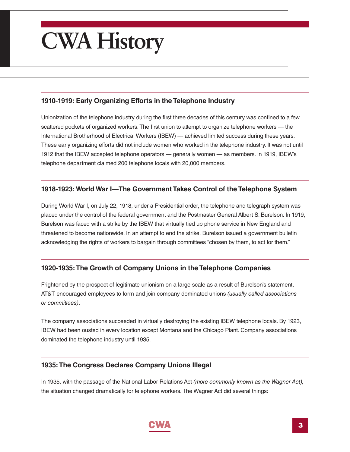## <span id="page-4-0"></span>**CWA History**

#### **1910-1919: Early Organizing Efforts in the Telephone Industry**

Unionization of the telephone industry during the first three decades of this century was confined to a few scattered pockets of organized workers.The first union to attempt to organize telephone workers — the International Brotherhood of Electrical Workers (IBEW) — achieved limited success during these years. These early organizing efforts did not include women who worked in the telephone industry. It was not until 1912 that the IBEW accepted telephone operators — generally women — as members. In 1919, IBEW's telephone department claimed 200 telephone locals with 20,000 members.

#### **1918-1923:World War I—The Government Takes Control of the Telephone System**

During World War I, on July 22, 1918, under a Presidential order, the telephone and telegraph system was placed under the control of the federal government and the Postmaster General Albert S. Burelson. In 1919, Burelson was faced with a strike by the IBEW that virtually tied up phone service in New England and threatened to become nationwide. In an attempt to end the strike, Burelson issued a government bulletin acknowledging the rights of workers to bargain through committees "chosen by them, to act for them."

#### **1920-1935:The Growth of Company Unions in the Telephone Companies**

Frightened by the prospect of legitimate unionism on a large scale as a result of Burelson's statement, AT&T encouraged employees to form and join company dominated unions *(usually called associations or committees)*.

The company associations succeeded in virtually destroying the existing IBEW telephone locals. By 1923, IBEW had been ousted in every location except Montana and the Chicago Plant. Company associations dominated the telephone industry until 1935.

#### **1935:The Congress Declares Company Unions Illegal**

In 1935, with the passage of the National Labor Relations Act *(more commonly known as the Wagner Act),* the situation changed dramatically for telephone workers.The Wagner Act did several things:

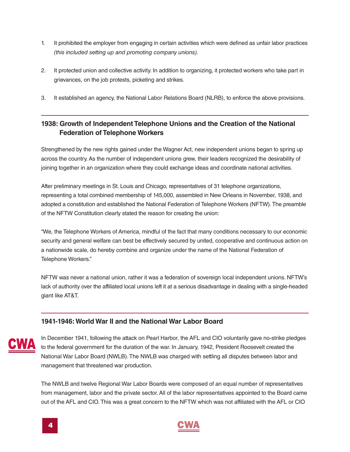- <span id="page-5-0"></span>1. It prohibited the employer from engaging in certain activities which were defined as unfair labor practices *(this included setting up and promoting company unions).*
- 2. It protected union and collective activity. In addition to organizing, it protected workers who take part in grievances, on the job protests, picketing and strikes.
- 3. It established an agency, the National Labor Relations Board (NLRB), to enforce the above provisions.

#### **1938: Growth of Independent Telephone Unions and the Creation of the National Federation of Telephone Workers**

Strengthened by the new rights gained under the Wagner Act, new independent unions began to spring up across the country.As the number of independent unions grew, their leaders recognized the desirability of joining together in an organization where they could exchange ideas and coordinate national activities.

After preliminary meetings in St. Louis and Chicago, representatives of 31 telephone organizations, representing a total combined membership of 145,000, assembled in New Orleans in November, 1938, and adopted a constitution and established the National Federation of Telephone Workers (NFTW).The preamble of the NFTW Constitution clearly stated the reason for creating the union:

"We, the Telephone Workers of America, mindful of the fact that many conditions necessary to our economic security and general welfare can best be effectively secured by united, cooperative and continuous action on a nationwide scale, do hereby combine and organize under the name of the National Federation of Telephone Workers."

NFTW was never a national union, rather it was a federation of sovereign local independent unions. NFTW's lack of authority over the affiliated local unions left it at a serious disadvantage in dealing with a single-headed giant like AT&T.

#### **1941-1946:World War II and the National War Labor Board**



In December 1941, following the attack on Pearl Harbor, the AFL and CIO voluntarily gave no-strike pledges to the federal government for the duration of the war. In January, 1942, President Roosevelt created the National War Labor Board (NWLB).The NWLB was charged with settling all disputes between labor and management that threatened war production.

The NWLB and twelve Regional War Labor Boards were composed of an equal number of representatives from management, labor and the private sector. All of the labor representatives appointed to the Board came out of the AFL and CIO.This was a great concern to the NFTW which was not affiliated with the AFL or CIO

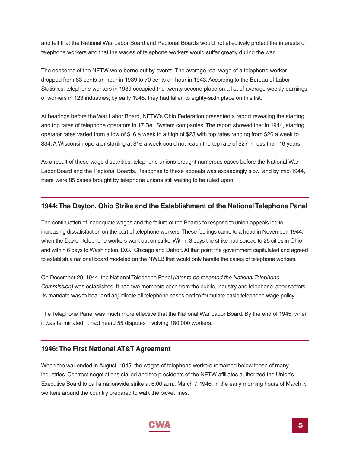<span id="page-6-0"></span>and felt that the National War Labor Board and Regional Boards would not effectively protect the interests of telephone workers and that the wages of telephone workers would suffer greatly during the war.

The concerns of the NFTW were borne out by events.The average real wage of a telephone worker dropped from 83 cents an hour in 1939 to 70 cents an hour in 1943.According to the Bureau of Labor Statistics, telephone workers in 1939 occupied the twenty-second place on a list of average weekly earnings of workers in 123 industries; by early 1945, they had fallen to eighty-sixth place on this list.

At hearings before the War Labor Board, NFTW's Ohio Federation presented a report revealing the starting and top rates of telephone operators in 17 Bell System companies.The report showed that in 1944, starting operator rates varied from a low of \$16 a week to a high of \$23 with top rates ranging from \$26 a week to \$34. A Wisconsin operator starting at \$16 a week could not reach the top rate of \$27 in less than 16 years!

As a result of these wage disparities, telephone unions brought numerous cases before the National War Labor Board and the Regional Boards. Response to these appeals was exceedingly slow, and by mid-1944, there were 85 cases brought by telephone unions still waiting to be ruled upon.

#### **1944:The Dayton, Ohio Strike and the Establishment of the NationalTelephone Panel**

The continuation of inadequate wages and the failure of the Boards to respond to union appeals led to increasing dissatisfaction on the part of telephone workers.These feelings came to a head in November, 1944, when the Dayton telephone workers went out on strike.Within 3 days the strike had spread to 25 cities in Ohio and within 6 days to Washington, D.C., Chicago and Detroit.At that point the government capitulated and agreed to establish a national board modeled on the NWLB that would only handle the cases of telephone workers.

On December 29, 1944, the National Telephone Panel *(later to be renamed the NationalTelephone Commission)* was established. It had two members each from the public, industry and telephone labor sectors. Its mandate was to hear and adjudicate all telephone cases and to formulate basic telephone wage policy.

The Telephone Panel was much more effective that the National War Labor Board. By the end of 1945, when it was terminated, it had heard 55 disputes involving 180,000 workers.

#### **1946:The First National AT&T Agreement**

When the war ended in August, 1945, the wages of telephone workers remained below those of many industries. Contract negotiations stalled and the presidents of the NFTW affiliates authorized the Union's Executive Board to call a nationwide strike at 6:00 a.m., March 7, 1946. In the early morning hours of March 7, workers around the country prepared to walk the picket lines.

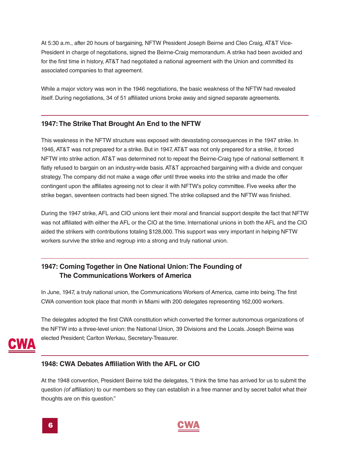<span id="page-7-0"></span>At 5:30 a.m., after 20 hours of bargaining, NFTW President Joseph Beirne and Cleo Craig, AT&T Vice-President in charge of negotiations, signed the Beirne-Craig memorandum.A strike had been avoided and for the first time in history, AT&T had negotiated a national agreement with the Union and committed its associated companies to that agreement.

While a major victory was won in the 1946 negotiations, the basic weakness of the NFTW had revealed itself. During negotiations, 34 of 51 affiliated unions broke away and signed separate agreements.

#### **1947:The Strike That Brought An End to the NFTW**

This weakness in the NFTW structure was exposed with devastating consequences in the 1947 strike. In 1946, AT&T was not prepared for a strike. But in 1947, AT&T was not only prepared for a strike, it forced NFTW into strike action.AT&T was determined not to repeat the Beirne-Craig type of national settlement. It flatly refused to bargain on an industry-wide basis. AT&T approached bargaining with a divide and conquer strategy.The company did not make a wage offer until three weeks into the strike and made the offer contingent upon the affiliates agreeing not to clear it with NFTW's policy committee. Five weeks after the strike began, seventeen contracts had been signed. The strike collapsed and the NFTW was finished.

During the 1947 strike, AFL and CIO unions lent their moral and financial support despite the fact that NFTW was not affiliated with either the AFL or the CIO at the time. International unions in both the AFL and the CIO aided the strikers with contributions totaling \$128,000.This support was very important in helping NFTW workers survive the strike and regroup into a strong and truly national union.

#### **1947: Coming Together in One National Union:The Founding of The Communications Workers of America**

In June, 1947, a truly national union, the Communications Workers of America, came into being.The first CWA convention took place that month in Miami with 200 delegates representing 162,000 workers.

The delegates adopted the first CWA constitution which converted the former autonomous organizations of the NFTW into a three-level union: the National Union, 39 Divisions and the Locals. Joseph Beirne was elected President; Carlton Werkau, Secretary-Treasurer.



#### **1948: CWA Debates Affiliation With the AFL or CIO**

At the 1948 convention, President Beirne told the delegates, "I think the time has arrived for us to submit the question *(of affiliation)* to our members so they can establish in a free manner and by secret ballot what their thoughts are on this question."

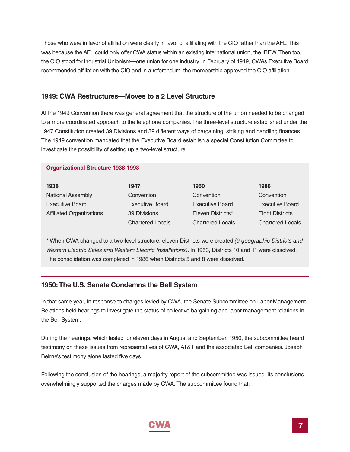<span id="page-8-0"></span>Those who were in favor of affiliation were clearly in favor of affiliating with the CIO rather than the AFL.This was because the AFL could only offer CWA status within an existing international union, the IBEW.Then too, the CIO stood for Industrial Unionism—one union for one industry. In February of 1949, CWA's Executive Board recommended affiliation with the CIO and in a referendum, the membership approved the CIO affiliation.

#### **1949: CWA Restructures—Moves to a 2 Level Structure**

At the 1949 Convention there was general agreement that the structure of the union needed to be changed to a more coordinated approach to the telephone companies. The three-level structure established under the 1947 Constitution created 39 Divisions and 39 different ways of bargaining, striking and handling finances. The 1949 convention mandated that the Executive Board establish a special Constitution Committee to investigate the possibility of setting up a two-level structure.

#### **Organizational Structure 1938-1993**

| 1938                            | 1947                    | 1950                    | 1986                    |
|---------------------------------|-------------------------|-------------------------|-------------------------|
| <b>National Assembly</b>        | Convention              | Convention              | Convention              |
| <b>Executive Board</b>          | <b>Executive Board</b>  | <b>Executive Board</b>  | <b>Executive Board</b>  |
| <b>Affiliated Organizations</b> | 39 Divisions            | Eleven Districts*       | <b>Eight Districts</b>  |
|                                 | <b>Chartered Locals</b> | <b>Chartered Locals</b> | <b>Chartered Locals</b> |

\* When CWA changed to a two-level structure, eleven Districts were created *(9 geographic Districts and Western Electric Sales and Western Electric Installations)*. In 1953, Districts 10 and 11 were dissolved. The consolidation was completed in 1986 when Districts 5 and 8 were dissolved.

#### **1950:The U.S. Senate Condemns the Bell System**

In that same year, in response to charges levied by CWA, the Senate Subcommittee on Labor-Management Relations held hearings to investigate the status of collective bargaining and labor-management relations in the Bell System.

During the hearings, which lasted for eleven days in August and September, 1950, the subcommittee heard testimony on these issues from representatives of CWA, AT&T and the associated Bell companies. Joseph Beirne's testimony alone lasted five days.

Following the conclusion of the hearings, a majority report of the subcommittee was issued. Its conclusions overwhelmingly supported the charges made by CWA.The subcommittee found that:

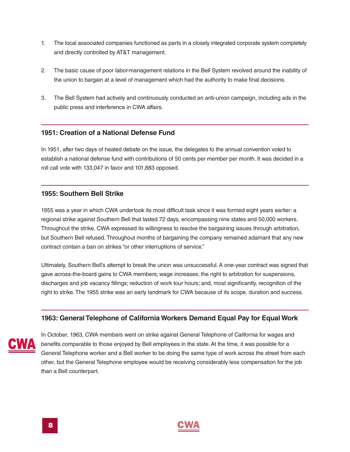- <span id="page-9-0"></span>1. The local associated companies functioned as parts in a closely integrated corporate system completely and directly controlled by AT&T management.
- 2. The basic cause of poor labor-management relations in the Bell System revolved around the inability of the union to bargain at a level of management which had the authority to make final decisions.
- 3. The Bell System had actively and continuously conducted an anti-union campaign, including ads in the public press and interference in CWA affairs.

#### **1951: Creation of a National Defense Fund**

In 1951, after two days of heated debate on the issue, the delegates to the annual convention voted to establish a national defense fund with contributions of 50 cents per member per month. It was decided in a roll call vote with 133,047 in favor and 101,883 opposed.

#### **1955: Southern Bell Strike**

1955 was a year in which CWA undertook its most difficult task since it was formed eight years earlier: a regional strike against Southern Bell that lasted 72 days, encompassing nine states and 50,000 workers. Throughout the strike, CWA expressed its willingness to resolve the bargaining issues through arbitration, but Southern Bell refused.Throughout months of bargaining the company remained adamant that any new contract contain a ban on strikes "or other interruptions of service."

Ultimately, Southern Bell's attempt to break the union was unsuccessful.A one-year contract was signed that gave across-the-board gains to CWA members; wage increases; the right to arbitration for suspensions, discharges and job vacancy fillings; reduction of work tour hours; and, most significantly, recognition of the right to strike.The 1955 strike was an early landmark for CWA because of its scope, duration and success.

#### **1963: General Telephone of California Workers Demand Equal Pay for Equal Work**



In October, 1963, CWA members went on strike against General Telephone of California for wages and benefits comparable to those enjoyed by Bell employees in the state.At the time, it was possible for a General Telephone worker and a Bell worker to be doing the same type of work across the street from each other, but the General Telephone employee would be receiving considerably less compensation for the job than a Bell counterpart.

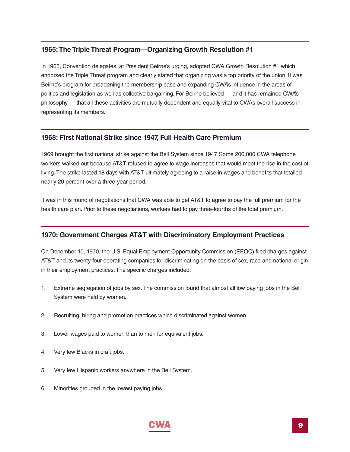#### <span id="page-10-0"></span>**1965:The Triple Threat Program—Organizing Growth Resolution #1**

In 1965, Convention delegates, at President Beirne's urging, adopted CWA Growth Resolution #1 which endorsed the Triple Threat program and clearly stated that organizing was a top priority of the union. It was Beirne's program for broadening the membership base and expanding CWA's influence in the areas of politics and legislation as well as collective bargaining. For Beirne believed — and it has remained CWA's philosophy — that all these activities are mutually dependent and equally vital to CWA's overall success in representing its members.

#### **1968: First National Strike since 1947, Full Health Care Premium**

1969 brought the first national strike against the Bell System since 1947. Some 200,000 CWA telephone workers walked out because AT&T refused to agree to wage increases that would meet the rise in the cost of living.The strike lasted 18 days with AT&T ultimately agreeing to a raise in wages and benefits that totalled nearly 20 percent over a three-year period.

It was in this round of negotiations that CWA was able to get AT&T to agree to pay the full premium for the health care plan. Prior to these negotiations, workers had to pay three-fourths of the total premium.

#### **1970: Government Charges AT&T with Discriminatory Employment Practices**

On December 10, 1970, the U.S. Equal Employment Opportunity Commission (EEOC) filed charges against AT&T and its twenty-four operating companies for discriminating on the basis of sex, race and national origin in their employment practices.The specific charges included:

- 1. Extreme segregation of jobs by sex.The commission found that almost all low paying jobs in the Bell System were held by women.
- 2. Recruiting, hiring and promotion practices which discriminated against women.
- 3. Lower wages paid to women than to men for equivalent jobs.
- 4. Very few Blacks in craft jobs.
- 5. Very few Hispanic workers anywhere in the Bell System.
- 6. Minorities grouped in the lowest paying jobs.

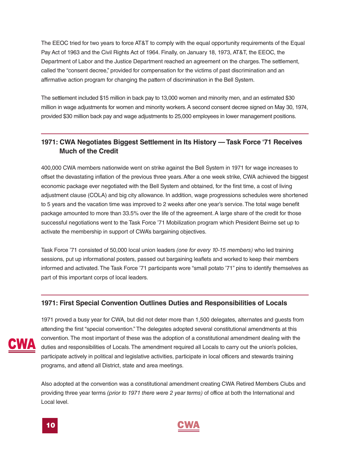<span id="page-11-0"></span>The EEOC tried for two years to force AT&T to comply with the equal opportunity requirements of the Equal Pay Act of 1963 and the Civil Rights Act of 1964. Finally, on January 18, 1973, AT&T, the EEOC, the Department of Labor and the Justice Department reached an agreement on the charges.The settlement, called the "consent decree," provided for compensation for the victims of past discrimination and an affirmative action program for changing the pattern of discrimination in the Bell System.

The settlement included \$15 million in back pay to 13,000 women and minority men, and an estimated \$30 million in wage adjustments for women and minority workers.A second consent decree signed on May 30, 1974, provided \$30 million back pay and wage adjustments to 25,000 employees in lower management positions.

#### **1971: CWA Negotiates Biggest Settlement in Its History —Task Force '71 Receives Much of the Credit**

400,000 CWA members nationwide went on strike against the Bell System in 1971 for wage increases to offset the devastating inflation of the previous three years.After a one week strike, CWA achieved the biggest economic package ever negotiated with the Bell System and obtained, for the first time, a cost of living adjustment clause (COLA) and big city allowance. In addition, wage progressions schedules were shortened to 5 years and the vacation time was improved to 2 weeks after one year's service.The total wage benefit package amounted to more than 33.5% over the life of the agreement. A large share of the credit for those successful negotiations went to the Task Force '71 Mobilization program which President Beirne set up to activate the membership in support of CWA's bargaining objectives.

Task Force '71 consisted of 50,000 local union leaders *(one for every 10-15 members)* who led training sessions, put up informational posters, passed out bargaining leaflets and worked to keep their members informed and activated.The Task Force '71 participants wore "small potato '71" pins to identify themselves as part of this important corps of local leaders.

#### **1971: First Special Convention Outlines Duties and Responsibilities of Locals**



1971 proved a busy year for CWA, but did not deter more than 1,500 delegates, alternates and guests from attending the first "special convention." The delegates adopted several constitutional amendments at this convention.The most important of these was the adoption of a constitutional amendment dealing with the duties and responsibilities of Locals.The amendment required all Locals to carry out the union's policies, participate actively in political and legislative activities, participate in local officers and stewards training programs, and attend all District, state and area meetings.

Also adopted at the convention was a constitutional amendment creating CWA Retired Members Clubs and providing three year terms *(prior to 1971 there were 2 year terms)* of office at both the International and Local level.



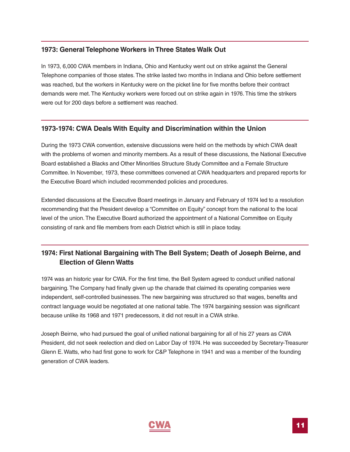#### <span id="page-12-0"></span>**1973: General Telephone Workers in Three States Walk Out**

In 1973, 6,000 CWA members in Indiana, Ohio and Kentucky went out on strike against the General Telephone companies of those states.The strike lasted two months in Indiana and Ohio before settlement was reached, but the workers in Kentucky were on the picket line for five months before their contract demands were met. The Kentucky workers were forced out on strike again in 1976. This time the strikers were out for 200 days before a settlement was reached.

#### **1973-1974: CWA Deals With Equity and Discrimination within the Union**

During the 1973 CWA convention, extensive discussions were held on the methods by which CWA dealt with the problems of women and minority members. As a result of these discussions, the National Executive Board established a Blacks and Other Minorities Structure Study Committee and a Female Structure Committee. In November, 1973, these committees convened at CWA headquarters and prepared reports for the Executive Board which included recommended policies and procedures.

Extended discussions at the Executive Board meetings in January and February of 1974 led to a resolution recommending that the President develop a "Committee on Equity" concept from the national to the local level of the union.The Executive Board authorized the appointment of a National Committee on Equity consisting of rank and file members from each District which is still in place today.

#### **1974: First National Bargaining with The Bell System; Death of Joseph Beirne, and Election of Glenn Watts**

1974 was an historic year for CWA. For the first time, the Bell System agreed to conduct unified national bargaining.The Company had finally given up the charade that claimed its operating companies were independent, self-controlled businesses.The new bargaining was structured so that wages, benefits and contract language would be negotiated at one national table. The 1974 bargaining session was significant because unlike its 1968 and 1971 predecessors, it did not result in a CWA strike.

Joseph Beirne, who had pursued the goal of unified national bargaining for all of his 27 years as CWA President, did not seek reelection and died on Labor Day of 1974. He was succeeded by Secretary-Treasurer Glenn E. Watts, who had first gone to work for C&P Telephone in 1941 and was a member of the founding generation of CWA leaders.

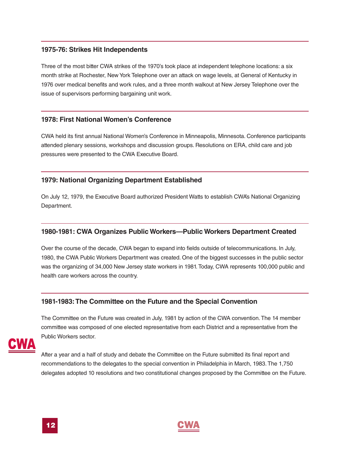#### <span id="page-13-0"></span>**1975-76: Strikes Hit Independents**

Three of the most bitter CWA strikes of the 1970's took place at independent telephone locations: a six month strike at Rochester, New York Telephone over an attack on wage levels, at General of Kentucky in 1976 over medical benefits and work rules, and a three month walkout at New Jersey Telephone over the issue of supervisors performing bargaining unit work.

#### **1978: First National Women's Conference**

CWA held its first annual National Women's Conference in Minneapolis, Minnesota. Conference participants attended plenary sessions, workshops and discussion groups. Resolutions on ERA, child care and job pressures were presented to the CWA Executive Board.

#### **1979: National Organizing Department Established**

On July 12, 1979, the Executive Board authorized President Watts to establish CWA's National Organizing Department.

#### **1980-1981: CWA Organizes Public Workers—Public Workers Department Created**

Over the course of the decade, CWA began to expand into fields outside of telecommunications. In July, 1980, the CWA Public Workers Department was created. One of the biggest successes in the public sector was the organizing of 34,000 New Jersey state workers in 1981.Today, CWA represents 100,000 public and health care workers across the country.

#### **1981-1983:The Committee on the Future and the Special Convention**

The Committee on the Future was created in July, 1981 by action of the CWA convention.The 14 member committee was composed of one elected representative from each District and a representative from the Public Workers sector.



After a year and a half of study and debate the Committee on the Future submitted its final report and recommendations to the delegates to the special convention in Philadelphia in March, 1983.The 1,750 delegates adopted 10 resolutions and two constitutional changes proposed by the Committee on the Future.



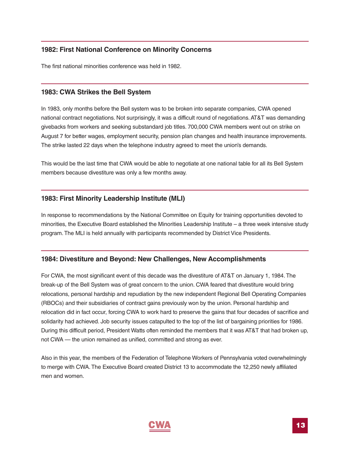#### <span id="page-14-0"></span>**1982: First National Conference on Minority Concerns**

The first national minorities conference was held in 1982.

#### **1983: CWA Strikes the Bell System**

In 1983, only months before the Bell system was to be broken into separate companies, CWA opened national contract negotiations. Not surprisingly, it was a difficult round of negotiations.AT&T was demanding givebacks from workers and seeking substandard job titles. 700,000 CWA members went out on strike on August 7 for better wages, employment security, pension plan changes and health insurance improvements. The strike lasted 22 days when the telephone industry agreed to meet the union's demands.

This would be the last time that CWA would be able to negotiate at one national table for all its Bell System members because divestiture was only a few months away.

#### **1983: First Minority Leadership Institute (MLI)**

In response to recommendations by the National Committee on Equity for training opportunities devoted to minorities, the Executive Board established the Minorities Leadership Institute – a three week intensive study program.The MLI is held annually with participants recommended by District Vice Presidents.

#### **1984: Divestiture and Beyond: New Challenges, New Accomplishments**

For CWA, the most significant event of this decade was the divestiture of AT&T on January 1, 1984.The break-up of the Bell System was of great concern to the union. CWA feared that divestiture would bring relocations, personal hardship and repudiation by the new independent Regional Bell Operating Companies (RBOCs) and their subsidiaries of contract gains previously won by the union. Personal hardship and relocation did in fact occur, forcing CWA to work hard to preserve the gains that four decades of sacrifice and solidarity had achieved. Job security issues catapulted to the top of the list of bargaining priorities for 1986. During this difficult period, President Watts often reminded the members that it was AT&T that had broken up, not CWA — the union remained as unified, committed and strong as ever.

Also in this year, the members of the Federation of Telephone Workers of Pennsylvania voted overwhelmingly to merge with CWA.The Executive Board created District 13 to accommodate the 12,250 newly affiliated men and women.

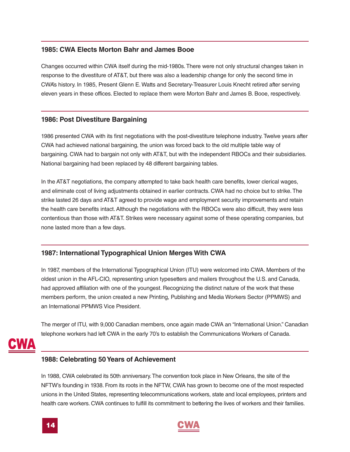#### <span id="page-15-0"></span>**1985: CWA Elects Morton Bahr and James Booe**

Changes occurred within CWA itself during the mid-1980s.There were not only structural changes taken in response to the divestiture of AT&T, but there was also a leadership change for only the second time in CWA's history. In 1985, Present Glenn E. Watts and Secretary-Treasurer Louis Knecht retired after serving eleven years in these offices. Elected to replace them were Morton Bahr and James B. Booe, respectively.

#### **1986: Post Divestiture Bargaining**

1986 presented CWA with its first negotiations with the post-divestiture telephone industry.Twelve years after CWA had achieved national bargaining, the union was forced back to the old multiple table way of bargaining. CWA had to bargain not only with AT&T, but with the independent RBOCs and their subsidiaries. National bargaining had been replaced by 48 different bargaining tables.

In the AT&T negotiations, the company attempted to take back health care benefits, lower clerical wages, and eliminate cost of living adjustments obtained in earlier contracts. CWA had no choice but to strike.The strike lasted 26 days and AT&T agreed to provide wage and employment security improvements and retain the health care benefits intact.Although the negotiations with the RBOCs were also difficult, they were less contentious than those with AT&T. Strikes were necessary against some of these operating companies, but none lasted more than a few days.

#### **1987: International Typographical Union Merges With CWA**

In 1987, members of the International Typographical Union (ITU) were welcomed into CWA. Members of the oldest union in the AFL-CIO, representing union typesetters and mailers throughout the U.S. and Canada, had approved affiliation with one of the youngest. Recognizing the distinct nature of the work that these members perform, the union created a new Printing, Publishing and Media Workers Sector (PPMWS) and an International PPMWS Vice President.

The merger of ITU, with 9,000 Canadian members, once again made CWA an "International Union." Canadian telephone workers had left CWA in the early 70's to establish the Communications Workers of Canada.

#### **1988: Celebrating 50Years of Achievement**

In 1988, CWA celebrated its 50th anniversary. The convention took place in New Orleans, the site of the NFTW's founding in 1938. From its roots in the NFTW, CWA has grown to become one of the most respected unions in the United States, representing telecommunications workers, state and local employees, printers and health care workers. CWA continues to fulfill its commitment to bettering the lives of workers and their families.

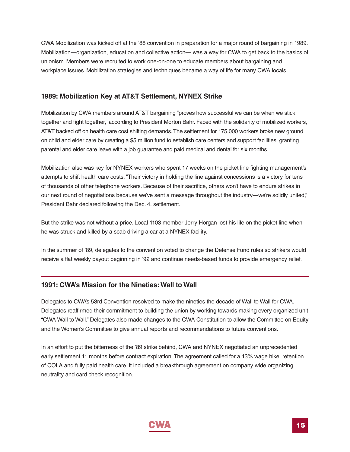<span id="page-16-0"></span>CWA Mobilization was kicked off at the '88 convention in preparation for a major round of bargaining in 1989. Mobilization—organization, education and collective action— was a way for CWA to get back to the basics of unionism. Members were recruited to work one-on-one to educate members about bargaining and workplace issues. Mobilization strategies and techniques became a way of life for many CWA locals.

#### **1989: Mobilization Key at AT&T Settlement, NYNEX Strike**

Mobilization by CWA members around AT&T bargaining "proves how successful we can be when we stick together and fight together," according to President Morton Bahr. Faced with the solidarity of mobilized workers, AT&T backed off on health care cost shifting demands.The settlement for 175,000 workers broke new ground on child and elder care by creating a \$5 million fund to establish care centers and support facilities, granting parental and elder care leave with a job guarantee and paid medical and dental for six months.

Mobilization also was key for NYNEX workers who spent 17 weeks on the picket line fighting management's attempts to shift health care costs. "Their victory in holding the line against concessions is a victory for tens of thousands of other telephone workers. Because of their sacrifice, others won't have to endure strikes in our next round of negotiations because we've sent a message throughout the industry—we're solidly united," President Bahr declared following the Dec. 4, settlement.

But the strike was not without a price. Local 1103 member Jerry Horgan lost his life on the picket line when he was struck and killed by a scab driving a car at a NYNEX facility.

In the summer of '89, delegates to the convention voted to change the Defense Fund rules so strikers would receive a flat weekly payout beginning in '92 and continue needs-based funds to provide emergency relief.

#### **1991: CWA's Mission for the Nineties:Wall to Wall**

Delegates to CWA's 53rd Convention resolved to make the nineties the decade of Wall to Wall for CWA. Delegates reaffirmed their commitment to building the union by working towards making every organized unit "CWA Wall to Wall." Delegates also made changes to the CWA Constitution to allow the Committee on Equity and the Women's Committee to give annual reports and recommendations to future conventions.

In an effort to put the bitterness of the '89 strike behind, CWA and NYNEX negotiated an unprecedented early settlement 11 months before contract expiration. The agreement called for a 13% wage hike, retention of COLA and fully paid health care. It included a breakthrough agreement on company wide organizing, neutrality and card check recognition.

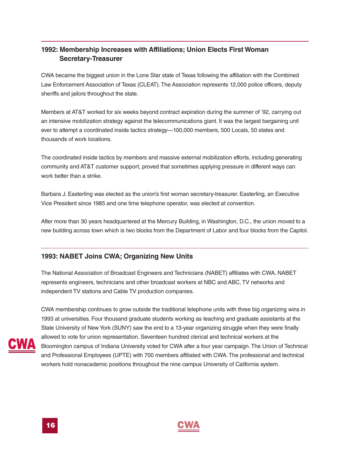#### <span id="page-17-0"></span>**1992: Membership Increases with Affiliations; Union Elects First Woman Secretary-Treasurer**

CWA became the biggest union in the Lone Star state of Texas following the affiliation with the Combined Law Enforcement Association of Texas (CLEAT). The Association represents 12,000 police officers, deputy sheriffs and jailors throughout the state.

Members at AT&T worked for six weeks beyond contract expiration during the summer of '92, carrying out an intensive mobilization strategy against the telecommunications giant. It was the largest bargaining unit ever to attempt a coordinated inside tactics strategy—100,000 members, 500 Locals, 50 states and thousands of work locations.

The coordinated inside tactics by members and massive external mobilization efforts, including generating community and AT&T customer support, proved that sometimes applying pressure in different ways can work better than a strike.

Barbara J. Easterling was elected as the union's first woman secretary-treasurer. Easterling, an Executive Vice President since 1985 and one time telephone operator, was elected at convention.

After more than 30 years headquartered at the Mercury Building, in Washington, D.C., the union moved to a new building across town which is two blocks from the Department of Labor and four blocks from the Capitol.

#### **1993: NABET Joins CWA; Organizing New Units**

The National Association of Broadcast Engineers and Technicians (NABET) affiliates with CWA. NABET represents engineers, technicians and other broadcast workers at NBC and ABC, TV networks and independent TV stations and Cable TV production companies.



CWA membership continues to grow outside the traditional telephone units with three big organizing wins in 1993 at universities. Four thousand graduate students working as teaching and graduate assistants at the State University of New York (SUNY) saw the end to a 13-year organizing struggle when they were finally allowed to vote for union representation. Seventeen hundred clerical and technical workers at the Bloomington campus of Indiana University voted for CWA after a four year campaign.The Union of Technical and Professional Employees (UPTE) with 700 members affiliated with CWA.The professional and technical workers hold nonacademic positions throughout the nine campus University of California system.



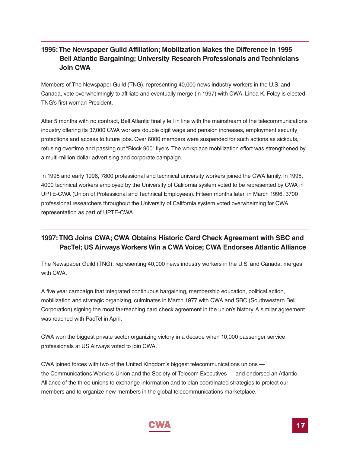#### <span id="page-18-0"></span>**1995:The Newspaper Guild Affiliation; Mobilization Makes the Difference in 1995 Bell Atlantic Bargaining; University Research Professionals andTechnicians Join CWA**

Members of The Newspaper Guild (TNG), representing 40,000 news industry workers in the U.S. and Canada, vote overwhelmingly to affiliate and eventually merge (in 1997) with CWA. Linda K. Foley is elected TNG's first woman President.

After 5 months with no contract, Bell Atlantic finally fell in line with the mainstream of the telecommunications industry offering its 37,000 CWA workers double digit wage and pension increases, employment security protections and access to future jobs. Over 6000 members were suspended for such actions as sickouts, refusing overtime and passing out "Block 900" flyers.The workplace mobilization effort was strengthened by a multi-million dollar advertising and corporate campaign.

In 1995 and early 1996, 7800 professional and technical university workers joined the CWA family. In 1995, 4000 technical workers employed by the University of California system voted to be represented by CWA in UPTE-CWA (Union of Professional and Technical Employees). Fifteen months later, in March 1996, 3700 professional researchers throughout the University of California system voted overwhelming for CWA representation as part of UPTE-CWA.

#### **1997:TNG Joins CWA; CWA Obtains Historic Card Check Agreement with SBC and PacTel; US Airways Workers Win a CWA Voice; CWA Endorses Atlantic Alliance**

The Newspaper Guild (TNG), representing 40,000 news industry workers in the U.S. and Canada, merges with CWA.

A five year campaign that integrated continuous bargaining, membership education, political action, mobilization and strategic organizing, culminates in March 1977 with CWA and SBC (Southwestern Bell Corporation) signing the most far-reaching card check agreement in the union's history.A similar agreement was reached with PacTel in April.

CWA won the biggest private sector organizing victory in a decade when 10,000 passenger service professionals at US Airways voted to join CWA.

CWA joined forces with two of the United Kingdom's biggest telecommunications unions the Communications Workers Union and the Society of Telecom Executives — and endorsed an Atlantic Alliance of the three unions to exchange information and to plan coordinated strategies to protect our members and to organize new members in the global telecommunications marketplace.

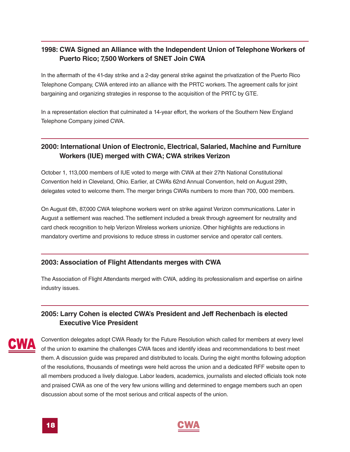#### <span id="page-19-0"></span>**1998: CWA Signed an Alliance with the Independent Union of Telephone Workers of Puerto Rico; 7,500 Workers of SNET Join CWA**

In the aftermath of the 41-day strike and a 2-day general strike against the privatization of the Puerto Rico Telephone Company, CWA entered into an alliance with the PRTC workers.The agreement calls for joint bargaining and organizing strategies in response to the acquisition of the PRTC by GTE.

In a representation election that culminated a 14-year effort, the workers of the Southern New England Telephone Company joined CWA.

#### **2000: International Union of Electronic, Electrical, Salaried, Machine and Furniture Workers (IUE) merged with CWA; CWA strikes Verizon**

October 1, 113,000 members of IUE voted to merge with CWA at their 27th National Constitutional Convention held in Cleveland, Ohio. Earlier, at CWA's 62nd Annual Convention, held on August 29th, delegates voted to welcome them.The merger brings CWA's numbers to more than 700, 000 members.

On August 6th, 87,000 CWA telephone workers went on strike against Verizon communications. Later in August a settlement was reached.The settlement included a break through agreement for neutrality and card check recognition to help Verizon Wireless workers unionize. Other highlights are reductions in mandatory overtime and provisions to reduce stress in customer service and operator call centers.

#### **2003: Association of Flight Attendants merges with CWA**

The Association of Flight Attendants merged with CWA, adding its professionalism and expertise on airline industry issues.

#### **2005: Larry Cohen is elected CWA's President and Jeff Rechenbach is elected Executive Vice President**



Convention delegates adopt CWA Ready for the Future Resolution which called for members at every level of the union to examine the challenges CWA faces and identify ideas and recommendations to best meet them.A discussion guide was prepared and distributed to locals. During the eight months following adoption of the resolutions, thousands of meetings were held across the union and a dedicated RFF website open to all members produced a lively dialogue. Labor leaders, academics, journalists and elected officials took note and praised CWA as one of the very few unions willing and determined to engage members such an open discussion about some of the most serious and critical aspects of the union.



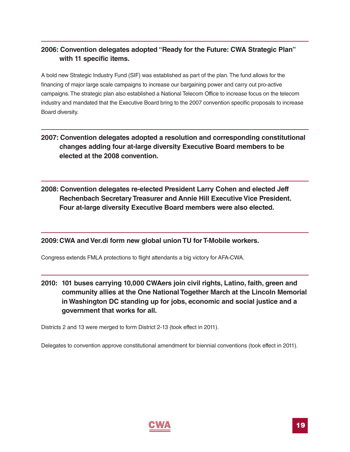#### <span id="page-20-0"></span>**2006: Convention delegates adopted "Ready for the Future: CWA Strategic Plan" with 11 specific items.**

A bold new Strategic Industry Fund (SIF) was established as part of the plan.The fund allows for the financing of major large scale campaigns to increase our bargaining power and carry out pro-active campaigns.The strategic plan also established a National Telecom Office to increase focus on the telecom industry and mandated that the Executive Board bring to the 2007 convention specific proposals to increase Board diversity.

- **2007: Convention delegates adopted a resolution and corresponding constitutional changes adding four at-large diversity Executive Board members to be elected at the 2008 convention.**
- **2008: Convention delegates re-elected President Larry Cohen and elected Jeff Rechenbach Secretary Treasurer and Annie Hill Executive Vice President. Four at-large diversity Executive Board members were also elected.**

#### **2009:CWA and Ver.di form new global union TU for T-Mobile workers.**

Congress extends FMLA protections to flight attendants a big victory for AFA-CWA.

**2010: 101 buses carrying 10,000 CWAers join civil rights, Latino, faith, green and community allies at the One National Together March at the Lincoln Memorial in Washington DC standing up for jobs, economic and social justice and a government that works for all.**

Districts 2 and 13 were merged to form District 2-13 (took effect in 2011).

Delegates to convention approve constitutional amendment for biennial conventions (took effect in 2011).

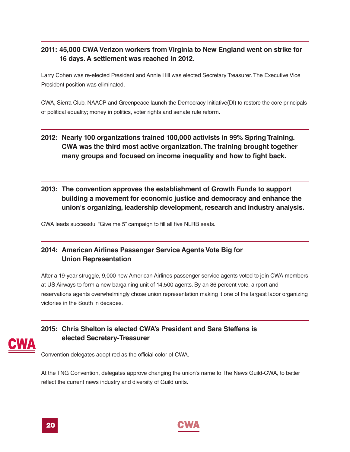#### **2011: 45,000 CWA Verizon workers from Virginia to New England went on strike for 16 days. A settlement was reached in 2012.**

Larry Cohen was re-elected President and Annie Hill was elected Secretary Treasurer.The Executive Vice President position was eliminated.

CWA, Sierra Club, NAACP and Greenpeace launch the Democracy Initiative(DI) to restore the core principals of political equality; money in politics, voter rights and senate rule reform.

#### **2012: Nearly 100 organizations trained 100,000 activists in 99% Spring Training. CWA was the third most active organization.The training brought together many groups and focused on income inequality and how to fight back.**

#### **2013: The convention approves the establishment of Growth Funds to support building a movement for economic justice and democracy and enhance the union's organizing, leadership development, research and industry analysis.**

CWA leads successful "Give me 5" campaign to fill all five NLRB seats.

#### **2014: American Airlines Passenger Service Agents Vote Big for Union Representation**

After a 19-year struggle, 9,000 new American Airlines passenger service agents voted to join CWA members at US Airways to form a new bargaining unit of 14,500 agents. By an 86 percent vote, airport and reservations agents overwhelmingly chose union representation making it one of the largest labor organizing victories in the South in decades.

#### **2015: Chris Shelton is elected CWA's President and Sara Steffens is elected Secretary-Treasurer**

Convention delegates adopt red as the official color of CWA.

At the TNG Convention, delegates approve changing the union's name to The News Guild-CWA, to better reflect the current news industry and diversity of Guild units.



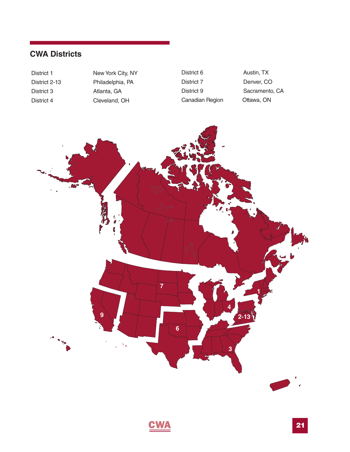### **CWA Districts**

District 3 Atlanta, GA District 4 Cleveland, OH

District 1 New York City, NY District 2-13 Philadelphia, PA

District 6 Austin, TX District 7 Denver, CO District 9 Sacramento, CA Canadian Region Ottawa, ON